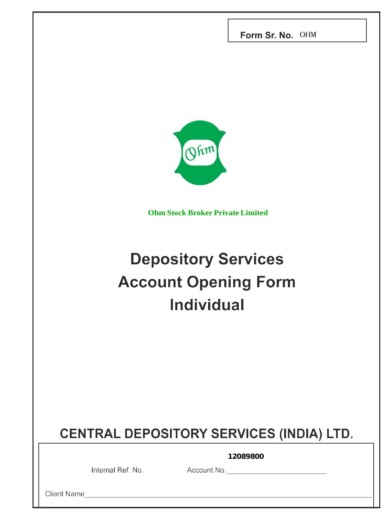Form Sr. No. OHM



**Ohm Stock Broker Private Limited**

# **Depository Services Account Opening Form Individual**

## **CENTRAL DEPOSITORY SERVICES (INDIA) LTD.**

**12089800** 

Internal Ref. No. Account No. No. 2008. Account No.

Client Name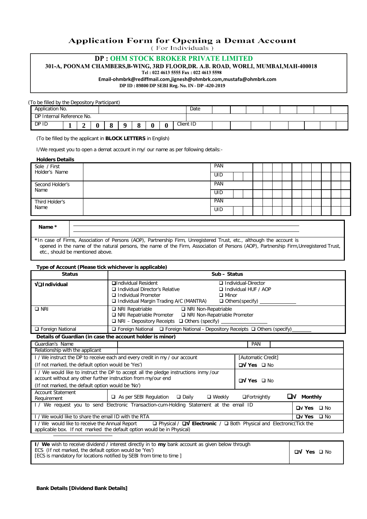## **Application Form for Opening a Demat Account**

(For Individuals)

## **DP: OHM STOCK BROKER PRIVATE LIMITED**

301-A, POONAM CHAMBERS, B-WING, 3RD FLOOR, DR. A.B. ROAD, WORLI, MUMBAI, MAH-400018

Tel: 022 4613 5555 Fax: 022 4613 5598

**Email-ohmbrk@rediffmail.com,jignesh@ohmbrk.com,mustafa@ohmbrk.com**

**DP ID : 89800 DP SEBI Reg. No. IN - DP -420-2019**

| (To be filled by the Depository Participant) |  |  |  |   |           |  |  |  |  |
|----------------------------------------------|--|--|--|---|-----------|--|--|--|--|
| Application No.                              |  |  |  |   | Date      |  |  |  |  |
| DP Internal Reference No.                    |  |  |  |   |           |  |  |  |  |
| DP ID                                        |  |  |  | v | Client ID |  |  |  |  |

(To be filled by the applicant in **BLOCK LETTERS** in English)

I/We request you to open a demat account in my/ our name as per following details:-

| <b>Holders Details</b>        |     |            |  |  |  |  |  |  |  |
|-------------------------------|-----|------------|--|--|--|--|--|--|--|
| Sole / First<br>Holder's Name | PAN | PAN        |  |  |  |  |  |  |  |
|                               |     | UID        |  |  |  |  |  |  |  |
| Second Holder's<br>Name       |     |            |  |  |  |  |  |  |  |
|                               |     | UID        |  |  |  |  |  |  |  |
| Third Holder's                |     | PAN        |  |  |  |  |  |  |  |
| Name                          |     | <b>UID</b> |  |  |  |  |  |  |  |
|                               |     |            |  |  |  |  |  |  |  |

| Name * |                                                                                                                                    |
|--------|------------------------------------------------------------------------------------------------------------------------------------|
|        | *In case of Firms, Association of Persons (AOP), Partnership Firm, Unregistered Trust, etc., although the account is               |
|        | appened in the name of the natural persons, the name of the Eirm Association of Dessens (AOD). Destroyship Eirm Unsegistered Trust |

opened in the name of the natural persons, the name of the Firm, Association of Persons (AOP), Partnership Firm,Unregistered Trust, etc., should be mentioned above.

|                                                                                                                                                                                                                                       | Type of Account (Please tick whichever is applicable)                                                                                                                    |                                                                              |  |  |  |  |  |  |  |  |  |
|---------------------------------------------------------------------------------------------------------------------------------------------------------------------------------------------------------------------------------------|--------------------------------------------------------------------------------------------------------------------------------------------------------------------------|------------------------------------------------------------------------------|--|--|--|--|--|--|--|--|--|
| <b>Status</b>                                                                                                                                                                                                                         |                                                                                                                                                                          | Sub - Status                                                                 |  |  |  |  |  |  |  |  |  |
| Valndividual                                                                                                                                                                                                                          | <b>QIndividual Resident</b><br>Individual Director's Relative<br>Individual Promoter<br>$\Box$ Minor<br>$\Box$ Individual Margin Trading A/C (MANTRA)                    | Individual-Director<br>$\Box$ Individual HUF / AOP<br>$\Box$ Others(specify) |  |  |  |  |  |  |  |  |  |
| $\square$ NRI                                                                                                                                                                                                                         | $\Box$ NRI Repatriable<br>□ NRI Non-Repatriable<br>□ NRI Repatriable Promoter □ NRI Non-Repatriable Promoter<br>$\Box$ NRI – Depository Receipts $\Box$ Others (specify) |                                                                              |  |  |  |  |  |  |  |  |  |
| □ Foreign National                                                                                                                                                                                                                    | $\Box$ Foreign National $\Box$ Foreign National - Depository Receipts $\Box$ Others (specify)                                                                            |                                                                              |  |  |  |  |  |  |  |  |  |
| Details of Guardian (in case the account holder is minor)                                                                                                                                                                             |                                                                                                                                                                          |                                                                              |  |  |  |  |  |  |  |  |  |
| Guardian's Name                                                                                                                                                                                                                       |                                                                                                                                                                          | <b>PAN</b>                                                                   |  |  |  |  |  |  |  |  |  |
| Relationship with the applicant                                                                                                                                                                                                       |                                                                                                                                                                          |                                                                              |  |  |  |  |  |  |  |  |  |
|                                                                                                                                                                                                                                       | I / We instruct the DP to receive each and every credit in my / our account                                                                                              | [Automatic Credit]                                                           |  |  |  |  |  |  |  |  |  |
| (If not marked, the default option would be 'Yes')                                                                                                                                                                                    |                                                                                                                                                                          | $\n  TV Yes\n  \square No$                                                   |  |  |  |  |  |  |  |  |  |
| I / We would like to instruct the DP to accept all the pledge instructions inmy /our<br>account without any other further instruction from my/our end<br>$\n  TV Yes \square No$<br>(If not marked, the default option would be 'No') |                                                                                                                                                                          |                                                                              |  |  |  |  |  |  |  |  |  |
| <b>Account Statement</b><br>Requirement                                                                                                                                                                                               | $\Box$ As per SEBI Regulation $\Box$ Daily<br>$\square$ Weekly                                                                                                           | <b>Monthly</b><br>$\Box$ Fortnightly<br>⊔v                                   |  |  |  |  |  |  |  |  |  |
| I/ We request you to send Electronic Transaction-cum-Holding Statement at the email ID<br><b>⊔v Yes</b><br>□ No                                                                                                                       |                                                                                                                                                                          |                                                                              |  |  |  |  |  |  |  |  |  |

I / We would like to share the email ID with the RTA **√ Yes** No I / We would like to receive the Annual Report Physical / **√ Electronic** / Both Physical and Electronic(Tick the applicable box. If not marked the default option would be in Physical)

| <b>I/ We</b> wish to receive dividend / interest directly in to <b>my</b> bank account as given below through |                        |
|---------------------------------------------------------------------------------------------------------------|------------------------|
| ECS (If not marked, the default option would be 'Yes')                                                        | $\Box V$ Yes $\Box$ No |
| [ECS is mandatory for locations notified by SEBI from time to time ]                                          |                        |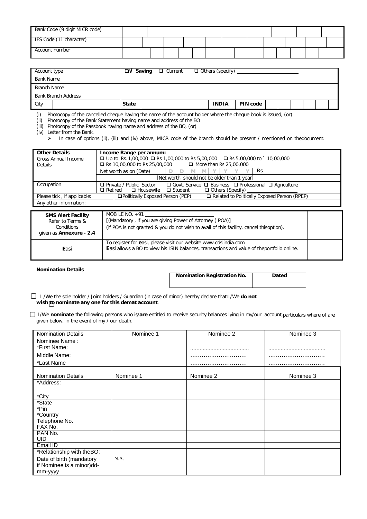| Bank Code (9 digit MICR code) |  |  |  |  |  |  |  |  |
|-------------------------------|--|--|--|--|--|--|--|--|
| IFS Code (11 character)       |  |  |  |  |  |  |  |  |
| Account number                |  |  |  |  |  |  |  |  |

| Account type               | $\Box V$ Saving $\Box$ Current | $\Box$ Others (specify)         |  |
|----------------------------|--------------------------------|---------------------------------|--|
| <b>Bank Name</b>           |                                |                                 |  |
| Branch Name                |                                |                                 |  |
| <b>Bank Branch Address</b> |                                |                                 |  |
| City                       | <b>State</b>                   | <b>INDIA</b><br><b>PIN code</b> |  |

(i) Photocopy of the cancelled cheque having the name of the account holder where the cheque book is issued, (or)

(ii) Photocopy of the Bank Statement having name and address of the BO

(iii) Photocopy of the Passbook having name and address of the BO, (or)

(iv) Letter from the Bank.

In case of options (ii), (iii) and (iv) above, MICR code of the branch should be present / mentioned on thedocument.

| <b>Other Details</b>        | Income Range per annum:                                                                                  |  |  |  |  |  |  |  |  |  |
|-----------------------------|----------------------------------------------------------------------------------------------------------|--|--|--|--|--|--|--|--|--|
| <b>Gross Annual Income</b>  | □ Up to Rs.1,00,000 □ Rs 1,00,000 to Rs 5,00,000 □ Rs 5,00,000 to ` 10,00,000                            |  |  |  |  |  |  |  |  |  |
| Details                     | $\Box$ More than Rs 25,00,000<br>$\Box$ Rs 10,00,000 to Rs 25,00,000                                     |  |  |  |  |  |  |  |  |  |
|                             | Rs<br>Net worth as on (Date)                                                                             |  |  |  |  |  |  |  |  |  |
|                             | [Net worth should not be older than 1 year]                                                              |  |  |  |  |  |  |  |  |  |
| Occupation                  | $\Box$ Govt. Service $\Box$ Business $\Box$ Professional $\Box$ Agriculture<br>□ Private / Public Sector |  |  |  |  |  |  |  |  |  |
|                             | $\Box$ Others (Specify)<br>$\Box$ Retired<br>□ Student<br>$\Box$ Housewife                               |  |  |  |  |  |  |  |  |  |
| Please tick, if applicable: | Related to Politically Exposed Person (RPEP)<br>□Politically Exposed Person (PEP)                        |  |  |  |  |  |  |  |  |  |
| Any other information:      |                                                                                                          |  |  |  |  |  |  |  |  |  |

| <b>SMS Alert Facility</b><br>Refer to Terms & | MOBILE NO. $+91$<br>[(Mandatory, if you are giving Power of Attorney (POA)]                                                                                            |  |
|-----------------------------------------------|------------------------------------------------------------------------------------------------------------------------------------------------------------------------|--|
| Conditions<br>given as Annexure - 2.4         | (if POA is not granted & you do not wish to avail of this facility, cancel thisoption).                                                                                |  |
| Easi                                          | To register for easi, please visit our website www.cdslindia.com.<br><b>Easi allows a BO to view his ISIN balances, transactions and value of theportfolio online.</b> |  |

#### **Nomination Details**

| <b>Nomination Registration No.</b> | Dated |
|------------------------------------|-------|
|                                    |       |

 I /We the sole holder / Joint holders / Guardian (in case of minor) hereby declare that:I/We **do not wish to nominate any one for this demat account**.

I/We **nominate** the following person**s** who is/**are** entitled to receive security balances lying in my/our account,particulars where of are given below, in the event of my / our death.

| <b>Nomination Details</b> | Nominee 1 | Nominee 2 | Nominee 3 |
|---------------------------|-----------|-----------|-----------|
| Nominee Name:             |           |           |           |
| *First Name:              |           |           |           |
| Middle Name:              |           |           |           |
| *Last Name                |           |           |           |
|                           |           |           |           |
| <b>Nomination Details</b> | Nominee 1 | Nominee 2 | Nominee 3 |
| *Address:                 |           |           |           |
|                           |           |           |           |
| *City                     |           |           |           |
| *State                    |           |           |           |
| *Pin                      |           |           |           |
| *Country                  |           |           |           |
| Telephone No.             |           |           |           |
| FAX No.                   |           |           |           |
| PAN No.                   |           |           |           |
| <b>UID</b>                |           |           |           |
| Email ID                  |           |           |           |
| *Relationship with theBO: |           |           |           |
| Date of birth (mandatory  | N.A.      |           |           |
| if Nominee is a minor)dd- |           |           |           |
| mm-yyyy                   |           |           |           |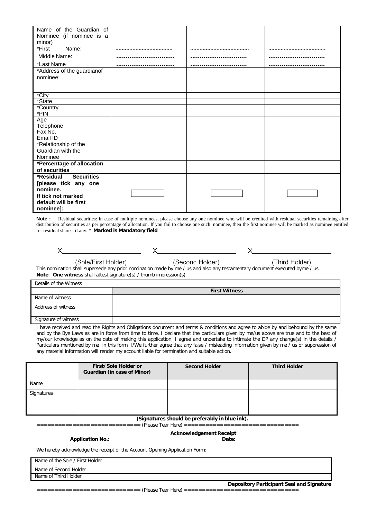| Name of the Guardian of        |      |  |
|--------------------------------|------|--|
| Nominee (if nominee is a       |      |  |
| minor)                         |      |  |
| *First<br>Name:                | <br> |  |
| Middle Name:                   |      |  |
| *Last Name                     |      |  |
| *Address of the guardianof     |      |  |
| nominee:                       |      |  |
|                                |      |  |
|                                |      |  |
| *City                          |      |  |
| *State                         |      |  |
| *Country                       |      |  |
| *PIN                           |      |  |
| Age                            |      |  |
| Telephone                      |      |  |
| Fax No.                        |      |  |
| Email ID                       |      |  |
| *Relationship of the           |      |  |
| Guardian with the              |      |  |
| Nominee                        |      |  |
| *Percentage of allocation      |      |  |
| of securities                  |      |  |
| <b>Securities</b><br>*Residual |      |  |
| [please tick any one           |      |  |
| nominee.                       |      |  |
| If tick not marked             |      |  |
| default will be first          |      |  |
| nominee]:                      |      |  |

Note : Residual securities: in case of multiple nominees, please choose any one nominee who will be credited with residual securities remaining after distribution of securities as per percentage of allocation. If you fail to choose one such nominee, then the first nominee will be marked as nominee entitled for residual shares, if any. **\* Marked is Mandatory field**

X

(Third Holder)

X

(Sole/First Holder) (Second Holder) This nomination shall supersede any prior nomination made by me / us and also any testamentary document executed byme / us. **Note**: **One witness** shall attest signature(s) / thumb impression(s)

| Details of the Witness |                      |  |  |  |  |  |  |  |  |
|------------------------|----------------------|--|--|--|--|--|--|--|--|
|                        | <b>First Witness</b> |  |  |  |  |  |  |  |  |
| Name of witness        |                      |  |  |  |  |  |  |  |  |
| Address of witness     |                      |  |  |  |  |  |  |  |  |
| Signature of witness   |                      |  |  |  |  |  |  |  |  |

I have received and read the Rights and Obligations document and terms & conditions and agree to abide by and bebound by the same and by the Bye Laws as are in force from time to time. I declare that the particulars given by me/us above are true and to the best of my/our knowledge as on the date of making this application. I agree and undertake to intimate the DP any change(s) in the details / Particulars mentioned by me in this form. I/We further agree that any false / misleading information given by me / us or suppression of any material information will render my account liable for termination and suitable action.

|            | First/Sole Holder or<br>Guardian (in case of Minor) | <b>Second Holder</b> | <b>Third Holder</b> |
|------------|-----------------------------------------------------|----------------------|---------------------|
| Name       |                                                     |                      |                     |
| Signatures |                                                     |                      |                     |

#### **(Signatures should be preferably in blue ink).**

============================= (Please Tear Here) ================================

## **Application No.: Date:**

**Acknowledgement Receipt**

We hereby acknowledge the receipt of the Account Opening Application Form:

| Name of the Sole / First Holder |                                                  |
|---------------------------------|--------------------------------------------------|
| Name of Second Holder           |                                                  |
| Name of Third Holder            |                                                  |
|                                 | <b>Depository Participant Seal and Signature</b> |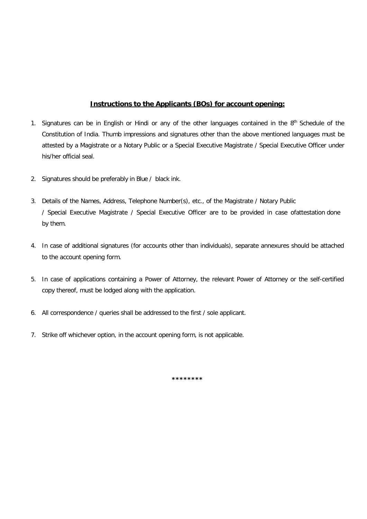## **Instructions to the Applicants (BOs) for account opening:**

- 1. Signatures can be in English or Hindi or any of the other languages contained in the 8<sup>th</sup> Schedule of the Constitution of India. Thumb impressions and signatures other than the above mentioned languages must be attested by a Magistrate or a Notary Public or a Special Executive Magistrate / Special Executive Officer under his/her official seal.
- 2. Signatures should be preferably in Blue / black ink.
- 3. Details of the Names, Address, Telephone Number(s), etc., of the Magistrate / Notary Public / Special Executive Magistrate / Special Executive Officer are to be provided in case ofattestation done by them.
- 4. In case of additional signatures (for accounts other than individuals), separate annexures should be attached to the account opening form.
- 5. In case of applications containing a Power of Attorney, the relevant Power of Attorney or the self-certified copy thereof, must be lodged along with the application.
- 6. All correspondence / queries shall be addressed to the first / sole applicant.
- 7. Strike off whichever option, in the account opening form, is not applicable.

**\*\*\*\*\*\*\*\***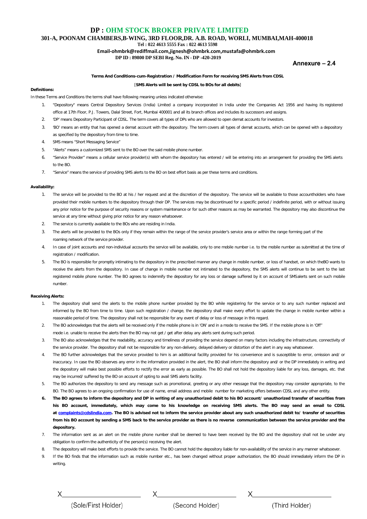**301-A, POONAM CHAMBERS,B-WING, 3RD FLOOR,DR. A.B. ROAD, WORLI, MUMBAI,MAH-400018**

**Tel : 022 4613 5555 Fax : 022 4613 5598**

**Email-ohmbrk@rediffmail.com,jignesh@ohmbrk.com,mustafa@ohmbrk.com DP ID : 89800 DP SEBI Reg. No. IN - DP -420-2019**

#### Annexure - 2.4

#### **Terms And Conditions-cum-Registration / Modification Form for receiving SMS Alerts from CDSL**

#### [**SMS Alerts will be sent by CDSL to BOs for all debits**]

#### **Definitions:**

In these Terms and Conditions the terms shall have following meaning unless indicated otherwise:

- 1. "Depository" means Central Depository Services (India) Limited a company incorporated in India under the Companies Act 1956 and having its registered office at 17th Floor, P.J. Towers, Dalal Street, Fort, Mumbai 400001 and all its branch offices and includes its successors and assigns.
- 2. 'DP' means Depository Participant of CDSL. The term covers all types of DPs who are allowed to open demat accounts for investors.
- 3. 'BO' means an entity that has opened a demat account with the depository. The term covers all types of demat accounts, which can be opened with a depository as specified by the depository from time to time.
- 4. SMS means "Short Messaging Service"
- 5. "Alerts" means a customized SMS sent to the BO over the said mobile phone number.
- 6. "Service Provider" means a cellular service provider(s) with whom the depository has entered / will be entering into an arrangement for providing the SMS alerts to the BO.
- 7. "Service" means the service of providing SMS alerts to the BO on best effort basis as per these terms and conditions.

#### **Availability:**

- 1. The service will be provided to the BO at his / her request and at the discretion of the depository. The service will be available to those accountholders who have provided their mobile numbers to the depository through their DP. The services may be discontinued for a specific period / indefinite period, with or without issuing any prior notice for the purpose of security reasons or system maintenance or for such other reasons as may be warranted. The depository may also discontinue the service at any time without giving prior notice for any reason whatsoever.
- 2. The service is currently available to the BOs who are residing in India.
- The alerts will be provided to the BOs only if they remain within the range of the service provider's service area or within the range forming part of the roaming network of the service provider.
- 4. In case of joint accounts and non-individual accounts the service will be available, only to one mobile number i.e. to the mobile number as submitted at the time of registration / modification.
- 5. The BO is responsible for promptly intimating to the depository in the prescribed manner any change in mobile number, or loss of handset, on which theBO wants to receive the alerts from the depository. In case of change in mobile number not intimated to the depository, the SMS alerts will continue to be sent to the last registered mobile phone number. The BO agrees to indemnify the depository for any loss or damage suffered by it on account of SMSalerts sent on such mobile number.

#### **Receiving Alerts:**

- 1. The depository shall send the alerts to the mobile phone number provided by the BO while registering for the service or to any such number replaced and informed by the BO from time to time. Upon such registration / change, the depository shall make every effort to update the change in mobile number within a reasonable period of time. The depository shall not be responsible for any event of delay or loss of message in this regard.
- 2. The BO acknowledges that the alerts will be received only if the mobile phone is in 'ON' and in a mode to receive the SMS. If the mobile phone is in 'Off'' mode i.e. unable to receive the alerts then the BO may not get / get after delay any alerts sent during such period.
- 3. The BO also acknowledges that the readability, accuracy and timeliness of providing the service depend on many factors including the infrastructure, connectivity of the service provider. The depository shall not be responsible for any non-delivery, delayed delivery or distortion of the alert in any way whatsoever.
- 4. The BO further acknowledges that the service provided to him is an additional facility provided for his convenience and is susceptible to error, omission and/ or inaccuracy. In case the BO observes any error in the information provided in the alert, the BO shall inform the depository and/ or the DP immediately in writing and the depository will make best possible efforts to rectify the error as early as possible. The BO shall not hold the depository liable for any loss, damages, etc. that may be incurred/ suffered by the BO on account of opting to avail SMS alerts facility.
- 5. The BO authorizes the depository to send any message such as promotional, greeting or any other message that the depository may consider appropriate, to the BO. The BO agrees to an ongoing confirmation for use of name, email address and mobile number for marketing offers between CDSL and any other entity.
- **6. The BO agrees to inform the depository and DP in writing of any unauthorized debit to his BO account/ unauthorized transfer of securities from** his BO account, immediately, which may come to his knowledge on receiving SMS alerts. The BO may send an email to CDSL **at [complaints@cdslindia.com.](mailto:complaints@cdslindia.com) The BO is advised not to inform the service provider about any such unauthorized debit to/ transfer of securities from his BO account by sending a SMS back to the service provider as there is no reverse communication between the service provider and the depository.**
- 7. The information sent as an alert on the mobile phone number shall be deemed to have been received by the BO and the depository shall not be under any obligation to confirm the authenticity of the person(s) receiving the alert.
- 8. The depository will make best efforts to provide the service. The BO cannot hold the depository liable for non-availability of the service in any manner whatsoever.
- 9. If the BO finds that the information such as mobile number etc., has been changed without proper authorization, the BO should immediately inform the DP in writing.

(Sole/First Holder)

(Second Holder)

 $X_{-}$ 

(Third Holder)

 $X \sim$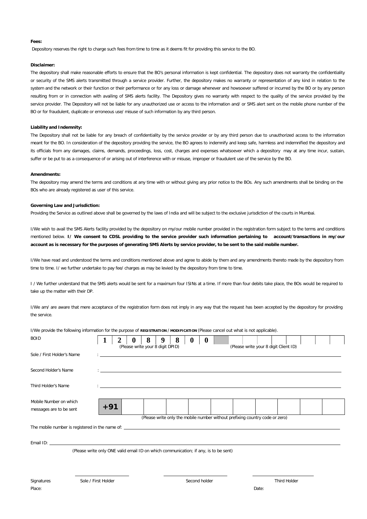#### **Fees:**

Depository reserves the right to charge such fees from time to time as it deems fit for providing this service to the BO.

#### **Disclaimer:**

The depository shall make reasonable efforts to ensure that the BO's personal information is kept confidential. The depository does not warranty the confidentiality or security of the SMS alerts transmitted through a service provider. Further, the depository makes no warranty or representation of any kind in relation to the system and the network or their function or their performance or for any loss or damage whenever and howsoever suffered or incurred by the BO or by any person resulting from or in connection with availing of SMS alerts facility. The Depository gives no warranty with respect to the quality of the service provided by the service provider. The Depository will not be liable for any unauthorized use or access to the information and/ or SMS alert sent on the mobile phone number of the BO or for fraudulent, duplicate or erroneous use/ misuse of such information by any third person.

#### **Liability and Indemnity:**

The Depository shall not be liable for any breach of confidentiality by the service provider or by any third person due to unauthorized access to the information meant for the BO. In consideration of the depository providing the service, the BO agrees to indemnify and keep safe, harmless and indemnified the depository and its officials from any damages, claims, demands, proceedings, loss, cost, charges and expenses whatsoever which a depository may at any time incur, sustain, suffer or be put to as a consequence of or arising out of interference with or misuse, improper or fraudulent use of the service by the BO.

#### **Amendments:**

The depository may amend the terms and conditions at any time with or without giving any prior notice to the BOs. Any such amendments shall be binding on the BOs who are already registered as user of this service.

#### **Governing Law and Jurisdiction:**

Providing the Service as outlined above shall be governed by the laws of India and will be subject to the exclusive jurisdiction of the courts in Mumbai.

I/We wish to avail the SMS Alerts facility provided by the depository on my/our mobile number provided in the registration form subject to the terms and conditions mentioned below. **I/ We consent to CDSL providing to the service provider such information pertaining to account/transactions in my/our** account as is necessary for the purposes of generating SMS Alerts by service provider, to be sent to the said mobile number.

I/We have read and understood the terms and conditions mentioned above and agree to abide by them and any amendments thereto made by the depository from time to time. I/ we further undertake to pay fee/ charges as may be levied by the depository from time to time.

I / We further understand that the SMS alerts would be sent for a maximum four ISINs at a time. If more than four debits take place, the BOs would be required to take up the matter with their DP.

I/We am/ are aware that mere acceptance of the registration form does not imply in any way that the request has been accepted by the depository for providing the service.

I/We provide the following information for the purpose of **REGISTRATION** / **MODIFICATION** (Please cancel out what is not applicable).

| <b>BOID</b>                                                                                                                                                                                                                   | 2<br>$\bf{0}$       | 8<br>8<br>9                                                                          | $\boldsymbol{0}$<br>$\boldsymbol{0}$ |                                       |              |  |
|-------------------------------------------------------------------------------------------------------------------------------------------------------------------------------------------------------------------------------|---------------------|--------------------------------------------------------------------------------------|--------------------------------------|---------------------------------------|--------------|--|
|                                                                                                                                                                                                                               |                     | (Please write your 8 digit DPID)                                                     |                                      | (Please write your 8 digit Client ID) |              |  |
| Sole / First Holder's Name                                                                                                                                                                                                    |                     |                                                                                      |                                      |                                       |              |  |
| Second Holder's Name                                                                                                                                                                                                          |                     |                                                                                      |                                      |                                       |              |  |
| Third Holder's Name                                                                                                                                                                                                           |                     |                                                                                      |                                      |                                       |              |  |
| Mobile Number on which<br>messages are to be sent                                                                                                                                                                             | $+91$               |                                                                                      |                                      |                                       |              |  |
|                                                                                                                                                                                                                               |                     | (Please write only the mobile number without prefixing country code or zero)         |                                      |                                       |              |  |
|                                                                                                                                                                                                                               |                     |                                                                                      |                                      |                                       |              |  |
| Email ID: 2000 Contract Contract Contract Contract Contract Contract Contract Contract Contract Contract Contract Contract Contract Contract Contract Contract Contract Contract Contract Contract Contract Contract Contract |                     |                                                                                      |                                      |                                       |              |  |
|                                                                                                                                                                                                                               |                     | (Please write only ONE valid email ID on which communication; if any, is to be sent) |                                      |                                       |              |  |
|                                                                                                                                                                                                                               |                     |                                                                                      |                                      |                                       |              |  |
| Signatures                                                                                                                                                                                                                    | Sole / First Holder |                                                                                      | Second holder                        |                                       | Third Holder |  |
| Place:                                                                                                                                                                                                                        |                     |                                                                                      |                                      | Date:                                 |              |  |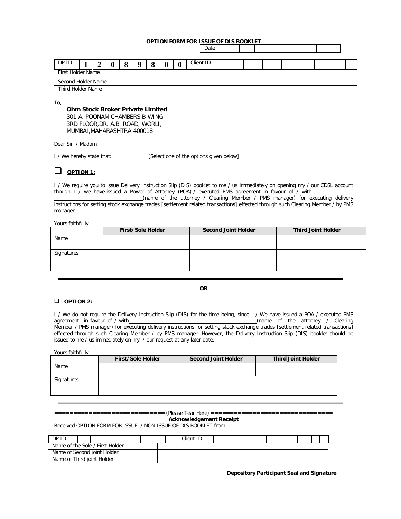#### **OPTION FORM FOR ISSUE OF DIS BOOKLET**

**Date** 

| DP ID              |  |  |  |  |  |  | Ω<br>α |  | U | Client ID |  |  |  |  |
|--------------------|--|--|--|--|--|--|--------|--|---|-----------|--|--|--|--|
| First Holder Name  |  |  |  |  |  |  |        |  |   |           |  |  |  |  |
| Second Holder Name |  |  |  |  |  |  |        |  |   |           |  |  |  |  |
| Third Holder Name  |  |  |  |  |  |  |        |  |   |           |  |  |  |  |

To,

#### **Ohm Stock Broker Private Limited**

301-A, POONAM CHAMBERS,B-WING, 3RD FLOOR,DR. A.B. ROAD, WORLI, MUMBAI,MAHARASHTRA-400018

Dear Sir / Madam,

I / We hereby state that: [Select one of the options given below]

## **OPTION 1:**

I / We require you to issue Delivery Instruction Slip (DIS) booklet to me / us immediately on opening my / our CDSL account though I / we have issued a Power of Attorney (POA) / executed PMS agreement in favour of / with

(name of the attorney / Clearing Member / PMS manager) for executing delivery instructions for setting stock exchange trades [settlement related transactions] effected through such Clearing Member / by PMS manager.

Yours faithfully

|            | First/Sole Holder | <b>Second Joint Holder</b> | <b>Third Joint Holder</b> |
|------------|-------------------|----------------------------|---------------------------|
| Name       |                   |                            |                           |
| Signatures |                   |                            |                           |

#### **OR**

## **OPTION 2:**

I / We do not require the Delivery Instruction Slip (DIS) for the time being, since I / We have issued a POA / executed PMS agreement in favour of / with (name of the attorney / Clearing Member / PMS manager) for executing delivery instructions for setting stock exchange trades [settlement related transactions] effected through such Clearing Member / by PMS manager. However, the Delivery Instruction Slip (DIS) booklet should be issued to me / us immediately on my / our request at any later date.

Yours faithfully

|            | <b>First/Sole Holder</b> | <b>Second Joint Holder</b> | <b>Third Joint Holder</b> |
|------------|--------------------------|----------------------------|---------------------------|
| Name       |                          |                            |                           |
| Signatures |                          |                            |                           |

============================= (Please Tear Here) ================================

**Acknowledgement Receipt** Received OPTION FORM FOR ISSUE / NON ISSUE OF DIS BOOKLET from :

| DP ID                           |  |  |  |  |  |  |  | Client ID |  |  |  |  |
|---------------------------------|--|--|--|--|--|--|--|-----------|--|--|--|--|
| Name of the Sole / First Holder |  |  |  |  |  |  |  |           |  |  |  |  |
| Name of Second joint Holder     |  |  |  |  |  |  |  |           |  |  |  |  |
| Name of Third joint Holder      |  |  |  |  |  |  |  |           |  |  |  |  |

**Depository Participant Seal and Signature**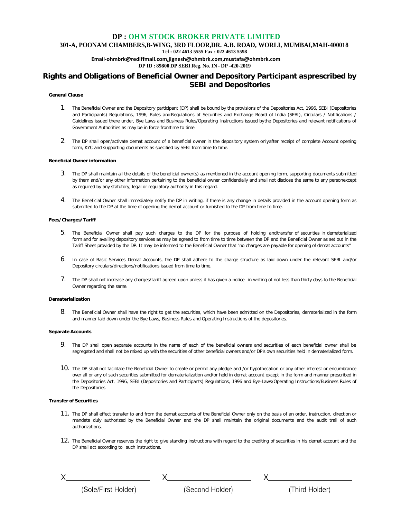**301-A, POONAM CHAMBERS,B-WING, 3RD FLOOR,DR. A.B. ROAD, WORLI, MUMBAI,MAH-400018**

**Tel : 022 4613 5555 Fax : 022 4613 5598**

**Email-ohmbrk@rediffmail.com,jignesh@ohmbrk.com,mustafa@ohmbrk.com**

**DP ID : 89800 DP SEBI Reg. No. IN - DP -420-2019**

## **Rights and Obligations of Beneficial Owner and Depository Participant asprescribed by SEBI and Depositories**

#### **General Clause**

- 1. The Beneficial Owner and the Depository participant (DP) shall be bound by the provisions of the Depositories Act, 1996, SEBI (Depositories and Participants) Regulations, 1996, Rules and Regulations of Securities and Exchange Board of India (SEBI), Circulars / Notifications / Guidelines issued there under, Bye Laws and Business Rules/Operating Instructions issued bythe Depositories and relevant notifications of Government Authorities as may be in force fromtime to time.
- 2. The DP shall open/activate demat account of a beneficial owner in the depository system onlyafter receipt of complete Account opening form, KYC and supporting documents as specified by SEBI from time to time.

#### **Beneficial Owner information**

- 3. The DP shall maintain all the details of the beneficial owner(s) as mentioned in the account opening form, supporting documents submitted by them and/or any other information pertaining to the beneficial owner confidentially and shall not disclose the same to any personexcept as required by any statutory, legal or regulatory authority in this regard.
- 4. The Beneficial Owner shall immediately notify the DP in writing, if there is any change in details provided in the account opening form as submitted to the DP at the time of opening the demat account or furnished to the DP from time to time.

#### **Fees/Charges/Tariff**

- 5. The Beneficial Owner shall pay such charges to the DP for the purpose of holding andtransfer of securities in dematerialized form and for availing depository services as may be agreed to from time to time between the DP and the Beneficial Owner as set out in the Tariff Sheet provided by the DP. It may be informed to the Beneficial Owner that "no charges are payable for opening of demat accounts"
- 6. In case of Basic Services Demat Accounts, the DP shall adhere to the charge structure as laid down under the relevant SEBI and/or Depository circulars/directions/notifications issued from time to time.
- 7. The DP shall not increase any charges/tariff agreed upon unless it has given a notice in writing of not less than thirty days to the Beneficial Owner regarding the same.

#### **Dematerialization**

8. The Beneficial Owner shall have the right to get the securities, which have been admitted on the Depositories, dematerialized in the form and manner laid down under the Bye Laws, Business Rules and Operating Instructions of the depositories.

#### **Separate Accounts**

- 9. The DP shall open separate accounts in the name of each of the beneficial owners and securities of each beneficial owner shall be segregated and shall not be mixed up with the securities of other beneficial owners and/or DP's own securities held in dematerialized form.
- 10. The DP shall not facilitate the Beneficial Owner to create or permit any pledge and /or hypothecation or any other interest or encumbrance over all or any of such securities submitted for dematerialization and/or held in demat account except in the form and manner prescribed in the Depositories Act, 1996, SEBI (Depositories and Participants) Regulations, 1996 and Bye-Laws/Operating Instructions/Business Rules of the Depositories.

#### **Transfer of Securities**

- 11. The DP shall effect transfer to and from the demat accounts of the Beneficial Owner only on the basis of an order, instruction, direction or mandate duly authorized by the Beneficial Owner and the DP shall maintain the original documents and the audit trail of such authorizations.
- 12. The Beneficial Owner reserves the right to give standing instructions with regard to the crediting of securities in his demat account and the DP shall act according to such instructions.

X<br>
(Sole/First Holder) X<br>
(Second Holder) X<br>
(Third Holder) (Third Holder)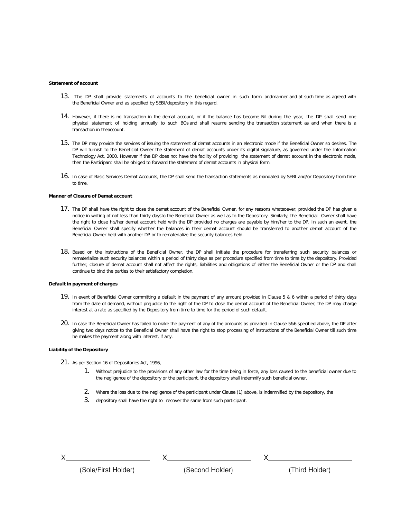#### **Statement of account**

- 13. The DP shall provide statements of accounts to the beneficial owner in such form andmanner and at such time as agreed with the Beneficial Owner and as specified by SEBI/depository in this regard.
- 14. However, if there is no transaction in the demat account, or if the balance has become Nil during the year, the DP shall send one physical statement of holding annually to such BOs and shall resume sending the transaction statement as and when there is a transaction in theaccount.
- 15. The DP may provide the services of issuing the statement of demat accounts in an electronic mode if the Beneficial Owner so desires. The DP will furnish to the Beneficial Owner the statement of demat accounts under its digital signature, as governed under the Information Technology Act, 2000. However if the DP does not have the facility of providing the statement of demat account in the electronic mode, then the Participant shall be obliged to forward the statement of demat accounts in physical form.
- 16. In case of Basic Services Demat Accounts, the DP shall send the transaction statements as mandated by SEBI and/or Depository from time to time.

#### **Manner of Closure of Demat account**

- 17. The DP shall have the right to close the demat account of the Beneficial Owner, for any reasons whatsoever, provided the DP has given a notice in writing of not less than thirty daysto the Beneficial Owner as well as to the Depository. Similarly, the Beneficial Owner shall have the right to close his/her demat account held with the DP provided no charges are payable by him/her to the DP. In such an event, the Beneficial Owner shall specify whether the balances in their demat account should be transferred to another demat account of the Beneficial Owner held with another DP or to rematerialize the security balances held.
- 18. Based on the instructions of the Beneficial Owner, the DP shall initiate the procedure for transferring such security balances or rematerialize such security balances within a period of thirty days as per procedure specified from time to time by the depository. Provided further, closure of demat account shall not affect the rights, liabilities and obligations of either the Beneficial Owner or the DP and shall continue to bind the parties to their satisfactory completion.

#### **Default in payment of charges**

- 19. In event of Beneficial Owner committing a default in the payment of any amount provided in Clause 5 & 6 within a period of thirty days from the date of demand, without prejudice to the right of the DP to close the demat account of the Beneficial Owner, the DP may charge interest at a rate as specified by the Depository from time to time for the period of such default.
- 20. In case the Beneficial Owner has failed to make the payment of any of the amounts as provided in Clause 5&6 specified above, the DP after giving two days notice to the Beneficial Owner shall have the right to stop processing of instructions of the Beneficial Owner till such time he makes the payment along with interest, if any.

#### **Liability of the Depository**

- 21. As per Section 16 of Depositories Act, 1996,
	- 1. Without prejudice to the provisions of any other law for the time being in force, any loss caused to the beneficial owner due to the negligence of the depository or the participant, the depository shall indemnify such beneficial owner.
	- 2. Where the loss due to the negligence of the participant under Clause (1) above, is indemnified by the depository, the
	- 3. depository shall have the right to recover the same from such participant.

X

(Sole/First Holder)

(Second Holder)

(Third Holder)

 $\times$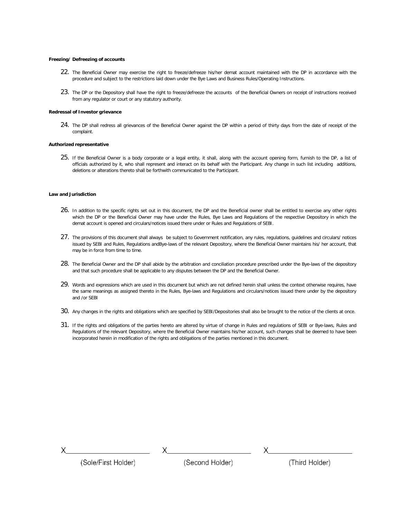#### **Freezing/ Defreezing of accounts**

- 22. The Beneficial Owner may exercise the right to freeze/defreeze his/her demat account maintained with the DP in accordance with the procedure and subject to the restrictions laid down under the Bye Laws and Business Rules/Operating Instructions.
- 23. The DP or the Depository shall have the right to freeze/defreeze the accounts of the Beneficial Owners on receipt of instructions received from any regulator or court or any statutory authority.

#### **Redressal of Investor grievance**

24. The DP shall redress all grievances of the Beneficial Owner against the DP within a period of thirty days from the date of receipt of the complaint.

#### **Authorized representative**

25. If the Beneficial Owner is a body corporate or a legal entity, it shall, along with the account opening form, furnish to the DP, a list of officials authorized by it, who shall represent and interact on its behalf with the Participant. Any change in such list including additions, deletions or alterations thereto shall be forthwith communicated to the Participant.

#### **Law and Jurisdiction**

- 26. In addition to the specific rights set out in this document, the DP and the Beneficial owner shall be entitled to exercise any other rights which the DP or the Beneficial Owner may have under the Rules, Bye Laws and Regulations of the respective Depository in which the demat account is opened and circulars/notices issued there under or Rules and Regulations of SEBI.
- 27. The provisions of this document shall always be subject to Government notification, any rules, regulations, guidelines and circulars/ notices issued by SEBI and Rules, Regulations andBye-laws of the relevant Depository, where the Beneficial Owner maintains his/ her account, that may be in force from time to time.
- 28. The Beneficial Owner and the DP shall abide by the arbitration and conciliation procedure prescribed under the Bye-laws of the depository and that such procedure shall be applicable to any disputes between the DP and the Beneficial Owner.
- 29. Words and expressions which are used in this document but which are not defined herein shall unless the context otherwise requires, have the same meanings as assigned thereto in the Rules, Bye-laws and Regulations and circulars/notices issued there under by the depository and /or SEBI
- 30. Any changes in the rights and obligations which are specified by SEBI/Depositories shall also be brought to the notice of the clients at once.
- 31. If the rights and obligations of the parties hereto are altered by virtue of change in Rules and regulations of SEBI or Bye-laws, Rules and Regulations of the relevant Depository, where the Beneficial Owner maintains his/her account, such changes shall be deemed to have been incorporated herein in modification of the rights and obligations of the parties mentioned in this document.

(Third Holder)

 $\times$ 

(Sole/First Holder)

(Second Holder)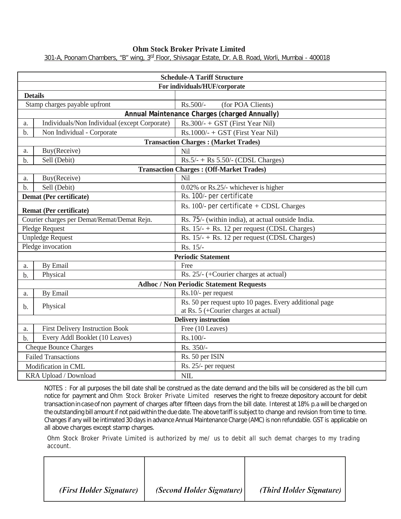## **Ohm Stock Broker Private Limited**

301-A, Poonam Chambers, "B" wing, 3<sup>rd</sup> Floor, Shivsagar Estate, Dr. A.B. Road, Worli, Mumbai - 400018

|                | <b>Schedule-A Tariff Structure</b>            |                                                         |  |  |  |  |  |  |
|----------------|-----------------------------------------------|---------------------------------------------------------|--|--|--|--|--|--|
|                | For individuals/HUF/corporate                 |                                                         |  |  |  |  |  |  |
| <b>Details</b> |                                               |                                                         |  |  |  |  |  |  |
|                | Stamp charges payable upfront                 | Rs.500/-<br>(for POA Clients)                           |  |  |  |  |  |  |
|                |                                               | Annual Maintenance Charges (charged Annually)           |  |  |  |  |  |  |
| a.             | Individuals/Non Individual (except Corporate) | Rs.300/- + GST (First Year Nil)                         |  |  |  |  |  |  |
| b.             | Non Individual - Corporate                    | $Rs.1000/- + GST$ (First Year Nil)                      |  |  |  |  |  |  |
|                |                                               | <b>Transaction Charges: (Market Trades)</b>             |  |  |  |  |  |  |
| a.             | Buy(Receive)                                  | Nil                                                     |  |  |  |  |  |  |
| b.             | Sell (Debit)                                  | $Rs.5/- + Rs 5.50/- (CDSL Charges)$                     |  |  |  |  |  |  |
|                |                                               | <b>Transaction Charges: (Off-Market Trades)</b>         |  |  |  |  |  |  |
| a.             | Buy(Receive)                                  | Nil                                                     |  |  |  |  |  |  |
| $b$            | Sell (Debit)                                  | 0.02% or Rs.25/- whichever is higher                    |  |  |  |  |  |  |
|                | Demat (Per certificate)                       | Rs. 100/- per certificate                               |  |  |  |  |  |  |
|                | <b>Remat (Per certificate)</b>                | Rs. $100/-$ per certificate $+$ CDSL Charges            |  |  |  |  |  |  |
|                | Courier charges per Demat/Remat/Demat Rejn.   | Rs. 75/- (within india), at actual outside India.       |  |  |  |  |  |  |
|                | Pledge Request                                | Rs. $15/- +$ Rs. 12 per request (CDSL Charges)          |  |  |  |  |  |  |
|                | <b>Unpledge Request</b>                       | Rs. 15/- + Rs. 12 per request (CDSL Charges)            |  |  |  |  |  |  |
|                | Pledge invocation                             | Rs. 15/-                                                |  |  |  |  |  |  |
|                |                                               | <b>Periodic Statement</b>                               |  |  |  |  |  |  |
| a.             | By Email                                      | Free                                                    |  |  |  |  |  |  |
| b.             | Physical                                      | Rs. 25/- (+Courier charges at actual)                   |  |  |  |  |  |  |
|                |                                               | <b>Adhoc / Non Periodic Statement Requests</b>          |  |  |  |  |  |  |
| a.             | By Email                                      | Rs.10/- per request                                     |  |  |  |  |  |  |
| b.             | Physical                                      | Rs. 50 per request upto 10 pages. Every additional page |  |  |  |  |  |  |
|                |                                               | at Rs. $5$ (+Courier charges at actual)                 |  |  |  |  |  |  |
|                |                                               | <b>Delivery instruction</b>                             |  |  |  |  |  |  |
| a.             | <b>First Delivery Instruction Book</b>        | Free (10 Leaves)                                        |  |  |  |  |  |  |
| $b$ .          | Every Addl Booklet (10 Leaves)                | Rs.100/-                                                |  |  |  |  |  |  |
|                | <b>Cheque Bounce Charges</b>                  | Rs. 350/-                                               |  |  |  |  |  |  |
|                | <b>Failed Transactions</b>                    | Rs. 50 per ISIN                                         |  |  |  |  |  |  |
|                | Modification in CML                           | Rs. 25/- per request                                    |  |  |  |  |  |  |
|                | <b>KRA Upload / Download</b>                  | NIL                                                     |  |  |  |  |  |  |

NOTES : For all purposes the bill date shall be construed as the date demand and the bills will be considered as the bill cum notice for payment and Ohm Stock Broker Private Limited reserves the right to freeze depository account for debit transaction in case of non payment of charges after fifteen days from the bill date. Interest at 18% p.a will be charged on the outstanding bill amount if not paid within the due date. The above tariff is subject to change and revision from time to time. Changes if any will be intimated 30 days in advance Annual Maintenance Charge (AMC) is non refundable. GST is applicable on all above charges except stamp charges.

Ohm Stock Broker Private Limited is authorized by me/ us to debit all such demat charges to my trading account.

| (First Holder Signature) | (Second Holder Signature) | (Third Holder Signature) |
|--------------------------|---------------------------|--------------------------|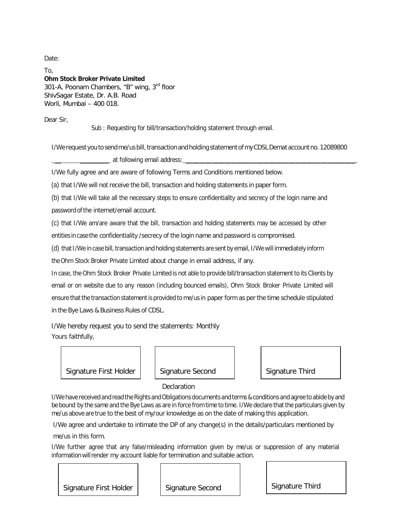Date:

To, **Ohm Stock Broker Private Limited** 301-A, Poonam Chambers, "B" wing, 3<sup>rd</sup> floor ShivSagar Estate, Dr. A.B. Road Worli, Mumbai – 400 018.

Dear Sir,

Sub : Requesting for bill/transaction/holding statement through email.

I/We request you to send me/us bill, transaction and holding statement of my CDSL Demat account no. 12089800

\_ at following email address:

I/We fully agree and are aware of following Terms and Conditions mentioned below.

(a) that I/We will not receive the bill, transaction and holding statements in paper form.

(b) that I/We will take all the necessary steps to ensure confidentiality and secrecy of the login name and password of the internet/email account.

(c) that I/We am/are aware that the bill, transaction and holding statements may be accessed by other entities in case the confidentiality /secrecy of the login name and password is compromised.

(d) that I/We in case bill, transaction and holding statements are sent by email, I/We will immediately inform

the Ohm Stock Broker Private Limited about change in email address, if any.

In case, the Ohm Stock Broker Private Limited is not able to provide bill/transaction statement to its Clients by email or on website due to any reason (including bounced emails), Ohm Stock Broker Private Limited will ensure that the transaction statement is provided to me/us in paper form as per the time schedule stipulated in the Bye Laws & Business Rules of CDSL.

 I/We hereby request you to send the statements: Monthly Yours faithfully,



**Declaration** 

I/We have received and read the Rights and Obligations documents and terms & conditions and agree to abide by and be bound by the same and the Bye Laws as are in force from time to time. I/We declare that the particulars given by me/us above are true to the best of my/our knowledge as on the date of making this application.

 I/We agree and undertake to intimate the DP of any change(s) in the details/particulars mentioned by me/us in this form.

I/We further agree that any false/misleading information given by me/us or suppression of any material informationwillrender my account liable for termination and suitable action.

Signature First Holder | Signature Second | Signature Third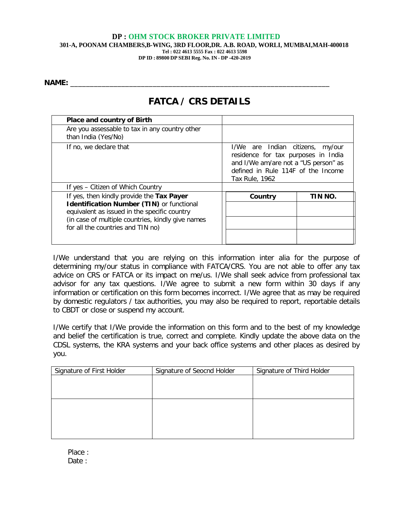**301-A, POONAM CHAMBERS,B-WING, 3RD FLOOR,DR. A.B. ROAD, WORLI, MUMBAI,MAH-400018 Tel : 022 4613 5555 Fax : 022 4613 5598**

**DP ID : 89800 DP SEBI Reg. No. IN - DP -420-2019**

**NAME:** \_\_\_\_\_\_\_\_\_\_\_\_\_\_\_\_\_\_\_\_\_\_\_\_\_\_\_\_\_\_\_\_\_\_\_\_\_\_\_\_\_\_\_\_\_\_\_\_\_\_\_\_\_\_\_\_\_\_\_\_\_\_\_\_\_\_

## **FATCA / CRS DETAILS**

| <b>Place and country of Birth</b>                                                                |                                                                                                                                                                                |         |  |  |  |
|--------------------------------------------------------------------------------------------------|--------------------------------------------------------------------------------------------------------------------------------------------------------------------------------|---------|--|--|--|
| Are you assessable to tax in any country other<br>than India (Yes/No)                            |                                                                                                                                                                                |         |  |  |  |
| If no, we declare that                                                                           | I/We are Indian citizens, my/our<br>residence for tax purposes in India<br>and I/We am/are not a "US person" as<br>defined in Rule 114F of the Income<br><b>Tax Rule, 1962</b> |         |  |  |  |
| If yes - Citizen of Which Country                                                                |                                                                                                                                                                                |         |  |  |  |
| If yes, then kindly provide the Tax Payer                                                        | Country                                                                                                                                                                        | TIN NO. |  |  |  |
| <b>Identification Number (TIN)</b> or functional<br>equivalent as issued in the specific country |                                                                                                                                                                                |         |  |  |  |
| (in case of multiple countries, kindly give names<br>for all the countries and TIN no)           |                                                                                                                                                                                |         |  |  |  |
|                                                                                                  |                                                                                                                                                                                |         |  |  |  |

I/We understand that you are relying on this information inter alia for the purpose of determining my/our status in compliance with FATCA/CRS. You are not able to offer any tax advice on CRS or FATCA or its impact on me/us. I/We shall seek advice from professional tax advisor for any tax questions. I/We agree to submit a new form within 30 days if any information or certification on this form becomes incorrect. I/We agree that as may be required by domestic regulators / tax authorities, you may also be required to report, reportable details to CBDT or close or suspend my account.

I/We certify that I/We provide the information on this form and to the best of my knowledge and belief the certification is true, correct and complete. Kindly update the above data on the CDSL systems, the KRA systems and your back office systems and other places as desired by you.

| Signature of First Holder | Signature of Seocnd Holder | Signature of Third Holder |
|---------------------------|----------------------------|---------------------------|
|                           |                            |                           |
|                           |                            |                           |
|                           |                            |                           |
|                           |                            |                           |
|                           |                            |                           |
|                           |                            |                           |
|                           |                            |                           |
|                           |                            |                           |

Place : Date :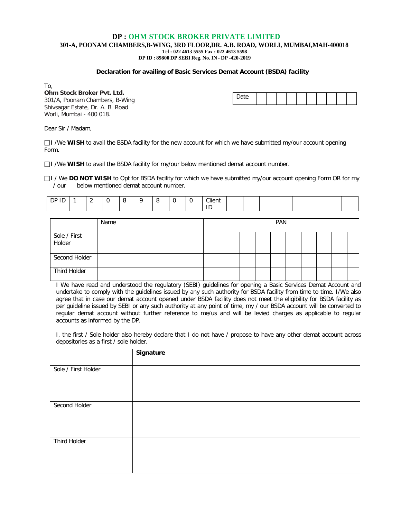**301-A, POONAM CHAMBERS,B-WING, 3RD FLOOR,DR. A.B. ROAD, WORLI, MUMBAI,MAH-400018**

**Tel : 022 4613 5555 Fax : 022 4613 5598**

**DP ID : 89800 DP SEBI Reg. No. IN - DP -420-2019**

#### **Declaration for availing of Basic Services Demat Account (BSDA) facility**

To,

**Ohm Stock Broker Pvt. Ltd.** 301/A, Poonam Chambers, B-Wing Shivsagar Estate, Dr. A. B. Road Worli, Mumbai - 400 018.

| Date |  |  |  |  |  |  |  |  |  |  |
|------|--|--|--|--|--|--|--|--|--|--|
|------|--|--|--|--|--|--|--|--|--|--|

Dear Sir / Madam,

I /We **WISH** to avail the BSDA facility for the new account for which we have submitted my/our account opening Form.

I /We **WISH** to avail the BSDA facility for my/our below mentioned demat account number.

I / We **DO NOT WISH** to Opt for BSDA facility for which we have submitted my/our account opening Form OR for my / our below mentioned demat account number.

| --<br>ᄟ | - |  | - |  | Client |  |  |  |  |
|---------|---|--|---|--|--------|--|--|--|--|
|         |   |  |   |  | -      |  |  |  |  |

|                        | Name | <b>PAN</b> |  |  |  |  |  |  |  |
|------------------------|------|------------|--|--|--|--|--|--|--|
| Sole / First<br>Holder |      |            |  |  |  |  |  |  |  |
| Second Holder          |      |            |  |  |  |  |  |  |  |
| Third Holder           |      |            |  |  |  |  |  |  |  |

I We have read and understood the regulatory (SEBI) guidelines for opening a Basic Services Demat Account and undertake to comply with the guidelines issued by any such authority for BSDA facility from time to time. I/We also agree that in case our demat account opened under BSDA facility does not meet the eligibility for BSDA facility as per guideline issued by SEBI or any such authority at any point of time, my / our BSDA account will be converted to regular demat account without further reference to me/us and will be levied charges as applicable to regular accounts as informed by the DP.

I, the first / Sole holder also hereby declare that I do not have / propose to have any other demat account across depositories as a first / sole holder.

|                     | Signature |
|---------------------|-----------|
| Sole / First Holder |           |
|                     |           |
|                     |           |
| Second Holder       |           |
|                     |           |
|                     |           |
| Third Holder        |           |
|                     |           |
|                     |           |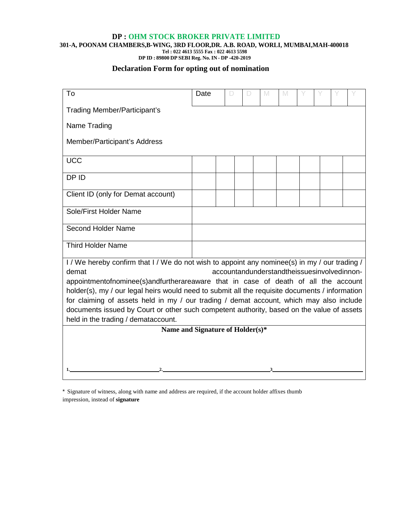**301-A, POONAM CHAMBERS,B-WING, 3RD FLOOR,DR. A.B. ROAD, WORLI, MUMBAI,MAH-400018**

**Tel : 022 4613 5555 Fax : 022 4613 5598 DP ID : 89800 DP SEBI Reg. No. IN - DP -420-2019**

## **Declaration Form for opting out of nomination**

| To                                                                                                                                                                                                                                                                                                                                                                                                                                                                                                                                                                                                               | Date | D |  | M | M |  |  |  |  |  |
|------------------------------------------------------------------------------------------------------------------------------------------------------------------------------------------------------------------------------------------------------------------------------------------------------------------------------------------------------------------------------------------------------------------------------------------------------------------------------------------------------------------------------------------------------------------------------------------------------------------|------|---|--|---|---|--|--|--|--|--|
| <b>Trading Member/Participant's</b>                                                                                                                                                                                                                                                                                                                                                                                                                                                                                                                                                                              |      |   |  |   |   |  |  |  |  |  |
| Name Trading                                                                                                                                                                                                                                                                                                                                                                                                                                                                                                                                                                                                     |      |   |  |   |   |  |  |  |  |  |
| Member/Participant's Address                                                                                                                                                                                                                                                                                                                                                                                                                                                                                                                                                                                     |      |   |  |   |   |  |  |  |  |  |
| <b>UCC</b>                                                                                                                                                                                                                                                                                                                                                                                                                                                                                                                                                                                                       |      |   |  |   |   |  |  |  |  |  |
| DP ID                                                                                                                                                                                                                                                                                                                                                                                                                                                                                                                                                                                                            |      |   |  |   |   |  |  |  |  |  |
| Client ID (only for Demat account)                                                                                                                                                                                                                                                                                                                                                                                                                                                                                                                                                                               |      |   |  |   |   |  |  |  |  |  |
| Sole/First Holder Name                                                                                                                                                                                                                                                                                                                                                                                                                                                                                                                                                                                           |      |   |  |   |   |  |  |  |  |  |
| Second Holder Name                                                                                                                                                                                                                                                                                                                                                                                                                                                                                                                                                                                               |      |   |  |   |   |  |  |  |  |  |
| <b>Third Holder Name</b>                                                                                                                                                                                                                                                                                                                                                                                                                                                                                                                                                                                         |      |   |  |   |   |  |  |  |  |  |
| I / We hereby confirm that I / We do not wish to appoint any nominee(s) in my / our trading /<br>accountandunderstandtheissuesinvolvedinnon-<br>demat<br>appointmentofnominee(s)andfurtherareaware that in case of death of all the account<br>holder(s), my / our legal heirs would need to submit all the requisite documents / information<br>for claiming of assets held in my / our trading / demat account, which may also include<br>documents issued by Court or other such competent authority, based on the value of assets<br>held in the trading / demataccount.<br>Name and Signature of Holder(s)* |      |   |  |   |   |  |  |  |  |  |
|                                                                                                                                                                                                                                                                                                                                                                                                                                                                                                                                                                                                                  |      |   |  |   |   |  |  |  |  |  |

\* Signature of witness, along with name and address are required, if the account holder affixes thumb impression, instead of **signature**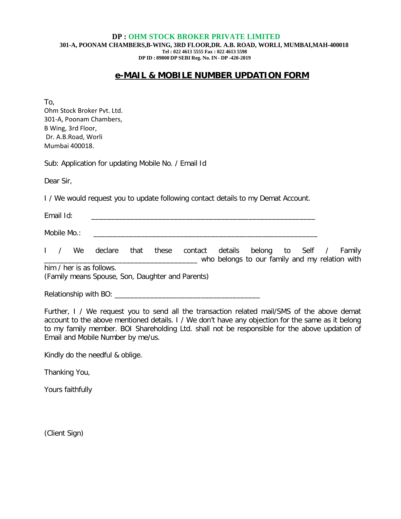#### **DP : OHM STOCK BROKER PRIVATE LIMITED 301-A, POONAM CHAMBERS,B-WING, 3RD FLOOR,DR. A.B. ROAD, WORLI, MUMBAI,MAH-400018 Tel : 022 4613 5555 Fax : 022 4613 5598 DP ID : 89800 DP SEBI Reg. No. IN - DP -420-2019**

## **e-MAIL & MOBILE NUMBER UPDATION FORM**

To,

Ohm Stock Broker Pvt. Ltd. 301-A, Poonam Chambers, B Wing, 3rd Floor, Dr. A.B.Road, Worli Mumbai 400018.

Sub: Application for updating Mobile No. / Email Id

Dear Sir,

I / We would request you to update following contact details to my Demat Account.

| Email Id:   |  |  |  |
|-------------|--|--|--|
| Mobile Mo.: |  |  |  |

I / We declare that these contact details belong to Self / Family \_\_\_\_\_\_\_\_\_\_\_\_\_\_\_\_\_\_\_\_\_\_\_\_\_\_\_\_\_\_\_\_\_\_\_\_\_\_\_ who belongs to our family and my relation with him / her is as follows.

(Family means Spouse, Son, Daughter and Parents)

Relationship with BO: \_\_\_\_\_\_\_\_\_\_\_\_\_\_\_\_\_\_\_\_\_\_\_\_\_\_\_\_\_\_\_\_\_\_\_\_\_

Further, I / We request you to send all the transaction related mail/SMS of the above demat account to the above mentioned details. I / We don't have any objection for the same as it belong to my family member. BOI Shareholding Ltd. shall not be responsible for the above updation of Email and Mobile Number by me/us.

Kindly do the needful & oblige.

Thanking You,

Yours faithfully

(Client Sign)